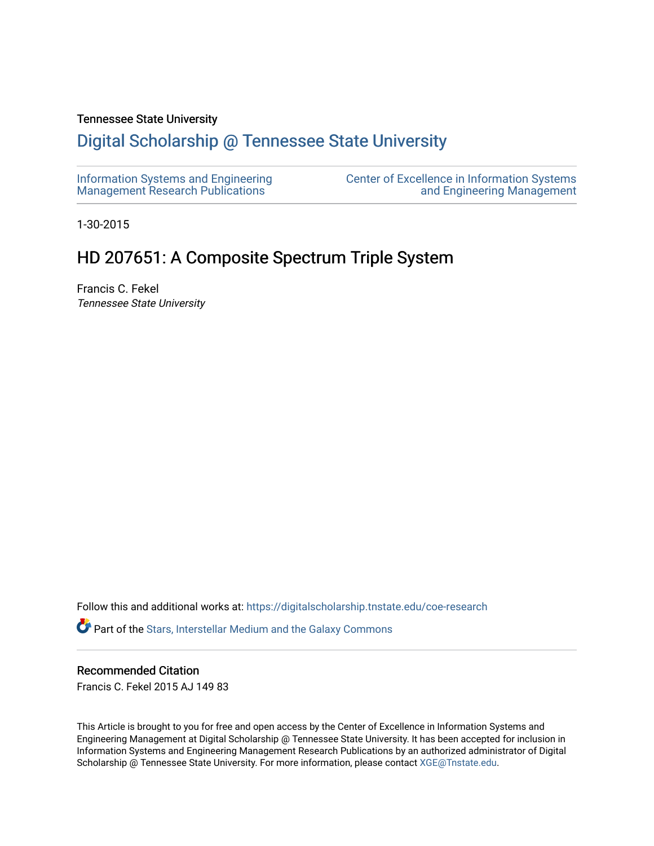### Tennessee State University

## [Digital Scholarship @ Tennessee State University](https://digitalscholarship.tnstate.edu/)

| Information Systems and Engineering | Center of Excellence in Information Systems |
|-------------------------------------|---------------------------------------------|
| Management Research Publications    | and Engineering Management                  |

1-30-2015

## HD 207651: A Composite Spectrum Triple System

Francis C. Fekel Tennessee State University

Follow this and additional works at: [https://digitalscholarship.tnstate.edu/coe-research](https://digitalscholarship.tnstate.edu/coe-research?utm_source=digitalscholarship.tnstate.edu%2Fcoe-research%2F363&utm_medium=PDF&utm_campaign=PDFCoverPages)  Part of the [Stars, Interstellar Medium and the Galaxy Commons](http://network.bepress.com/hgg/discipline/127?utm_source=digitalscholarship.tnstate.edu%2Fcoe-research%2F363&utm_medium=PDF&utm_campaign=PDFCoverPages) 

### Recommended Citation

Francis C. Fekel 2015 AJ 149 83

This Article is brought to you for free and open access by the Center of Excellence in Information Systems and Engineering Management at Digital Scholarship @ Tennessee State University. It has been accepted for inclusion in Information Systems and Engineering Management Research Publications by an authorized administrator of Digital Scholarship @ Tennessee State University. For more information, please contact [XGE@Tnstate.edu](mailto:XGE@Tnstate.edu).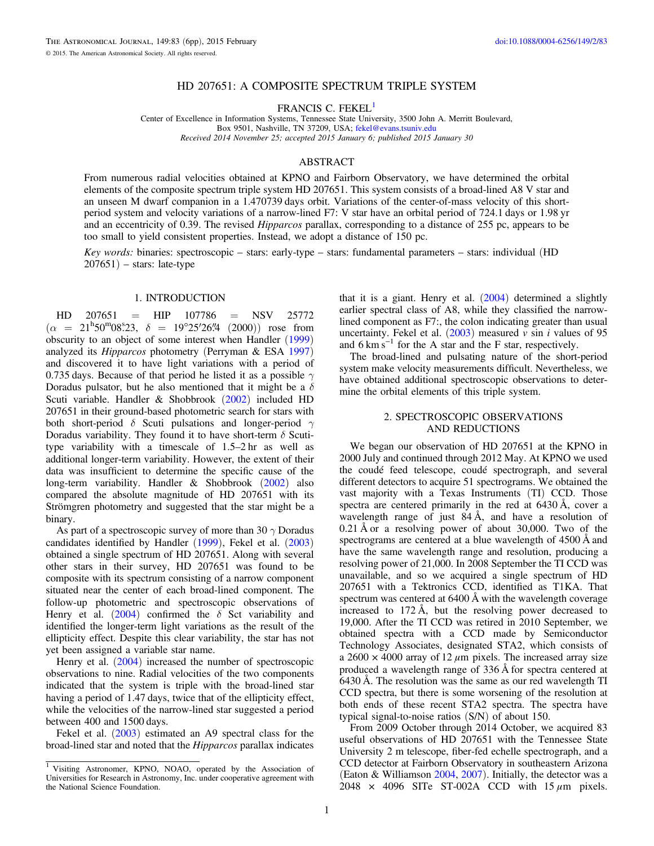#### HD 207651: A COMPOSITE SPECTRUM TRIPLE SYSTEM

FRANCIS C. FEKEL<sup>1</sup>

Center of Excellence in Information Systems, Tennessee State University, 3500 John A. Merritt Boulevard, Box 9501, Nashville, TN 37209, USA; [fekel@evans.tsuniv.edu](mailto:fekel@evans.tsuniv.edu) Received 2014 November 25; accepted 2015 January 6; published 2015 January 30

#### ABSTRACT

From numerous radial velocities obtained at KPNO and Fairborn Observatory, we have determined the orbital elements of the composite spectrum triple system HD 207651. This system consists of a broad-lined A8 V star and an unseen M dwarf companion in a 1.470739 days orbit. Variations of the center-of-mass velocity of this shortperiod system and velocity variations of a narrow-lined F7: V star have an orbital period of 724.1 days or 1.98 yr and an eccentricity of 0.39. The revised Hipparcos parallax, corresponding to a distance of 255 pc, appears to be too small to yield consistent properties. Instead, we adopt a distance of 150 pc.

Key words: binaries: spectroscopic – stars: early-type – stars: fundamental parameters – stars: individual (HD  $207651$ ) – stars: late-type

#### 1. INTRODUCTION

 $HD$  207651 = HIP 107786 = NSV 25772  $(\alpha = 21^{\text{h}} 50^{\text{m}} 08^{\text{s}} 23, \delta = 19^{\circ} 25' 26\frac{\text{m}}{4} (2000))$  rose from obscurity to an object of some interest when Handler ([1999](#page-6-0)) analyzed its Hipparcos photometry (Perryman & ESA [1997](#page-6-0)) and discovered it to have light variations with a period of 0.735 days. Because of that period he listed it as a possible  $\gamma$ Doradus pulsator, but he also mentioned that it might be a  $\delta$ Scuti variable. Handler & Shobbrook ([2002](#page-6-0)) included HD 207651 in their ground-based photometric search for stars with both short-period  $\delta$  Scuti pulsations and longer-period  $\gamma$ Doradus variability. They found it to have short-term  $\delta$  Scutitype variability with a timescale of 1.5–2 hr as well as additional longer-term variability. However, the extent of their data was insufficient to determine the specific cause of the long-term variability. Handler & Shobbrook ([2002](#page-6-0)) also compared the absolute magnitude of HD 207651 with its Strömgren photometry and suggested that the star might be a binary.

As part of a spectroscopic survey of more than 30  $\gamma$  Doradus candidates identified by Handler ([1999](#page-6-0)), Fekel et al. ([2003](#page-6-0)) obtained a single spectrum of HD 207651. Along with several other stars in their survey, HD 207651 was found to be composite with its spectrum consisting of a narrow component situated near the center of each broad-lined component. The follow-up photometric and spectroscopic observations of Henry et al. ([2004](#page-6-0)) confirmed the  $\delta$  Sct variability and identified the longer-term light variations as the result of the ellipticity effect. Despite this clear variability, the star has not yet been assigned a variable star name.

Henry et al. ([2004](#page-6-0)) increased the number of spectroscopic observations to nine. Radial velocities of the two components indicated that the system is triple with the broad-lined star having a period of 1.47 days, twice that of the ellipticity effect, while the velocities of the narrow-lined star suggested a period between 400 and 1500 days.

Fekel et al.  $(2003)$  $(2003)$  $(2003)$  estimated an A9 spectral class for the broad-lined star and noted that the Hipparcos parallax indicates that it is a giant. Henry et al. ([2004](#page-6-0)) determined a slightly earlier spectral class of A8, while they classified the narrowlined component as F7:, the colon indicating greater than usual uncertainty. Fekel et al.  $(2003)$  $(2003)$  $(2003)$  measured v sin *i* values of 95 and  $6 \text{ km s}^{-1}$  for the A star and the F star, respectively.

The broad-lined and pulsating nature of the short-period system make velocity measurements difficult. Nevertheless, we have obtained additional spectroscopic observations to determine the orbital elements of this triple system.

#### 2. SPECTROSCOPIC OBSERVATIONS AND REDUCTIONS

We began our observation of HD 207651 at the KPNO in 2000 July and continued through 2012 May. At KPNO we used the coudé feed telescope, coudé spectrograph, and several different detectors to acquire 51 spectrograms. We obtained the vast majority with a Texas Instruments (TI) CCD. Those spectra are centered primarily in the red at 6430 Å, cover a wavelength range of just  $84 \text{ Å}$ , and have a resolution of 0.21 Å or a resolving power of about 30,000. Two of the spectrograms are centered at a blue wavelength of 4500 Å and have the same wavelength range and resolution, producing a resolving power of 21,000. In 2008 September the TI CCD was unavailable, and so we acquired a single spectrum of HD 207651 with a Tektronics CCD, identified as T1KA. That spectrum was centered at 6400 Å with the wavelength coverage increased to 172 Å, but the resolving power decreased to 19,000. After the TI CCD was retired in 2010 September, we obtained spectra with a CCD made by Semiconductor Technology Associates, designated STA2, which consists of a  $2600 \times 4000$  array of 12  $\mu$ m pixels. The increased array size produced a wavelength range of 336 Å for spectra centered at 6430 Å. The resolution was the same as our red wavelength TI CCD spectra, but there is some worsening of the resolution at both ends of these recent STA2 spectra. The spectra have typical signal-to-noise ratios (S/N) of about 150.

From 2009 October through 2014 October, we acquired 83 useful observations of HD 207651 with the Tennessee State University 2 m telescope, fiber-fed echelle spectrograph, and a CCD detector at Fairborn Observatory in southeastern Arizona (Eaton & Williamson [2004,](#page-6-0) [2007](#page-6-0)). Initially, the detector was a 2048 × 4096 SITe ST-002A CCD with 15 *μ*m pixels.

<sup>&</sup>lt;sup>1</sup> Visiting Astronomer, KPNO, NOAO, operated by the Association of Universities for Research in Astronomy, Inc. under cooperative agreement with the National Science Foundation.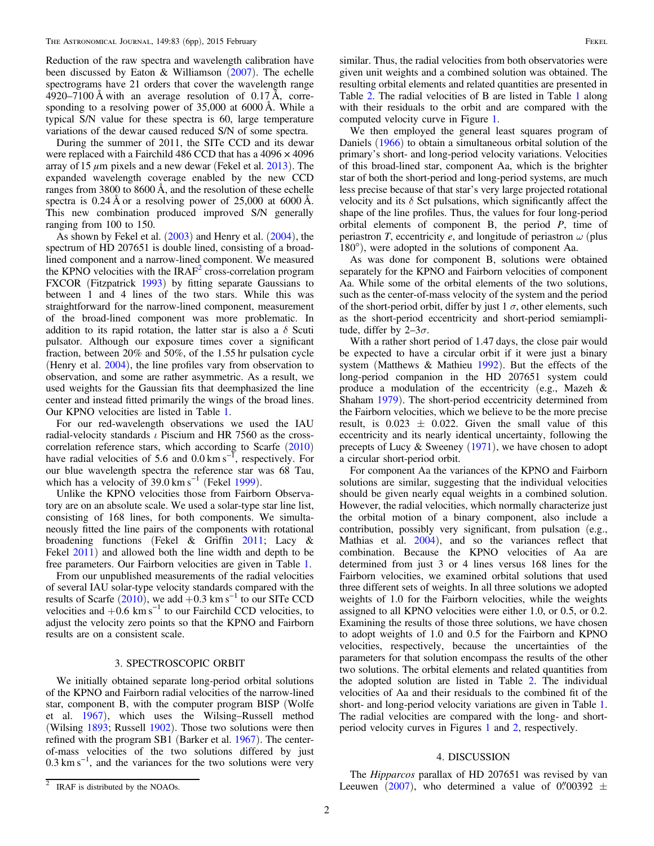Reduction of the raw spectra and wavelength calibration have been discussed by Eaton & Williamson  $(2007)$  $(2007)$  $(2007)$ . The echelle spectrograms have 21 orders that cover the wavelength range 4920–7100 Å with an average resolution of 0.17 Å, corresponding to a resolving power of 35,000 at 6000 Å. While a typical S/N value for these spectra is 60, large temperature variations of the dewar caused reduced S/N of some spectra.

During the summer of 2011, the SITe CCD and its dewar were replaced with a Fairchild 486 CCD that has a  $4096 \times 4096$ array of 15 *μ*m pixels and a new dewar (Fekel et al. [2013](#page-6-0)). The expanded wavelength coverage enabled by the new CCD ranges from 3800 to 8600 Å, and the resolution of these echelle spectra is 0.24 Å or a resolving power of 25,000 at 6000 Å. This new combination produced improved S/N generally ranging from 100 to 150.

As shown by Fekel et al.  $(2003)$  $(2003)$  $(2003)$  and Henry et al.  $(2004)$  $(2004)$  $(2004)$ , the spectrum of HD 207651 is double lined, consisting of a broadlined component and a narrow-lined component. We measured the KPNO velocities with the  $IRAF<sup>2</sup>$  cross-correlation program FXCOR (Fitzpatrick [1993](#page-6-0)) by fitting separate Gaussians to between 1 and 4 lines of the two stars. While this was straightforward for the narrow-lined component, measurement of the broad-lined component was more problematic. In addition to its rapid rotation, the latter star is also a  $\delta$  Scuti pulsator. Although our exposure times cover a significant fraction, between 20% and 50%, of the 1.55 hr pulsation cycle (Henry et al. [2004](#page-6-0)), the line profiles vary from observation to observation, and some are rather asymmetric. As a result, we used weights for the Gaussian fits that deemphasized the line center and instead fitted primarily the wings of the broad lines. Our KPNO velocities are listed in Table [1](#page-3-0).

For our red-wavelength observations we used the IAU radial-velocity standards  $\iota$  Piscium and HR 7560 as the crosscorrelation reference stars, which according to Scarfe ([2010](#page-6-0)) have radial velocities of 5.6 and  $0.0 \text{ km s}^{-1}$ , respectively. For our blue wavelength spectra the reference star was 68 Tau, which has a velocity of  $39.0 \text{ km s}^{-1}$  (Fekel [1999](#page-6-0)).

Unlike the KPNO velocities those from Fairborn Observatory are on an absolute scale. We used a solar-type star line list, consisting of 168 lines, for both components. We simultaneously fitted the line pairs of the components with rotational broadening functions (Fekel & Griffin [2011;](#page-6-0) Lacy & Fekel [2011](#page-6-0)) and allowed both the line width and depth to be free parameters. Our Fairborn velocities are given in Table [1.](#page-3-0)

From our unpublished measurements of the radial velocities of several IAU solar-type velocity standards compared with the results of Scarfe ([2010](#page-6-0)), we add +0.3 km s<sup>-1</sup> to our SITe CCD velocities and  $+0.6 \text{ km s}^{-1}$  to our Fairchild CCD velocities, to adjust the velocity zero points so that the KPNO and Fairborn results are on a consistent scale.

#### 3. SPECTROSCOPIC ORBIT

We initially obtained separate long-period orbital solutions of the KPNO and Fairborn radial velocities of the narrow-lined star, component B, with the computer program BISP (Wolfe et al. [1967](#page-6-0)), which uses the Wilsing–Russell method (Wilsing [1893](#page-6-0); Russell [1902](#page-6-0)). Those two solutions were then refined with the program SB1 (Barker et al. [1967](#page-6-0)). The centerof-mass velocities of the two solutions differed by just  $0.3 \text{ km s}^{-1}$ , and the variances for the two solutions were very

similar. Thus, the radial velocities from both observatories were given unit weights and a combined solution was obtained. The resulting orbital elements and related quantities are presented in Table [2.](#page-5-0) The radial velocities of B are listed in Table [1](#page-3-0) along with their residuals to the orbit and are compared with the computed velocity curve in Figure [1.](#page-5-0)

We then employed the general least squares program of Daniels ([1966](#page-6-0)) to obtain a simultaneous orbital solution of the primary's short- and long-period velocity variations. Velocities of this broad-lined star, component Aa, which is the brighter star of both the short-period and long-period systems, are much less precise because of that star's very large projected rotational velocity and its  $\delta$  Sct pulsations, which significantly affect the shape of the line profiles. Thus, the values for four long-period orbital elements of component B, the period P, time of periastron T, eccentricity e, and longitude of periastron  $\omega$  (plus 180°), were adopted in the solutions of component Aa.

As was done for component B, solutions were obtained separately for the KPNO and Fairborn velocities of component Aa. While some of the orbital elements of the two solutions, such as the center-of-mass velocity of the system and the period of the short-period orbit, differ by just  $1 \sigma$ , other elements, such as the short-period eccentricity and short-period semiamplitude, differ by  $2-3\sigma$ .

With a rather short period of 1.47 days, the close pair would be expected to have a circular orbit if it were just a binary system (Matthews & Mathieu [1992](#page-6-0)). But the effects of the long-period companion in the HD 207651 system could produce a modulation of the eccentricity (e.g., Mazeh & Shaham [1979](#page-6-0)). The short-period eccentricity determined from the Fairborn velocities, which we believe to be the more precise result, is  $0.023 \pm 0.022$ . Given the small value of this eccentricity and its nearly identical uncertainty, following the precepts of Lucy & Sweeney ([1971](#page-6-0)), we have chosen to adopt a circular short-period orbit.

For component Aa the variances of the KPNO and Fairborn solutions are similar, suggesting that the individual velocities should be given nearly equal weights in a combined solution. However, the radial velocities, which normally characterize just the orbital motion of a binary component, also include a contribution, possibly very significant, from pulsation (e.g., Mathias et al. [2004](#page-6-0)), and so the variances reflect that combination. Because the KPNO velocities of Aa are determined from just 3 or 4 lines versus 168 lines for the Fairborn velocities, we examined orbital solutions that used three different sets of weights. In all three solutions we adopted weights of 1.0 for the Fairborn velocities, while the weights assigned to all KPNO velocities were either 1.0, or 0.5, or 0.2. Examining the results of those three solutions, we have chosen to adopt weights of 1.0 and 0.5 for the Fairborn and KPNO velocities, respectively, because the uncertainties of the parameters for that solution encompass the results of the other two solutions. The orbital elements and related quantities from the adopted solution are listed in Table [2](#page-5-0). The individual velocities of Aa and their residuals to the combined fit of the short- and long-period velocity variations are given in Table [1](#page-3-0). The radial velocities are compared with the long- and shortperiod velocity curves in Figures [1](#page-5-0) and [2](#page-5-0), respectively.

#### 4. DISCUSSION

The Hipparcos parallax of HD 207651 was revised by van IRAF is distributed by the NOAOs. Leeuwen ([2007](#page-6-0)), who determined a value of  $0\rlap.{''}00392 \pm 10\rlap{0}$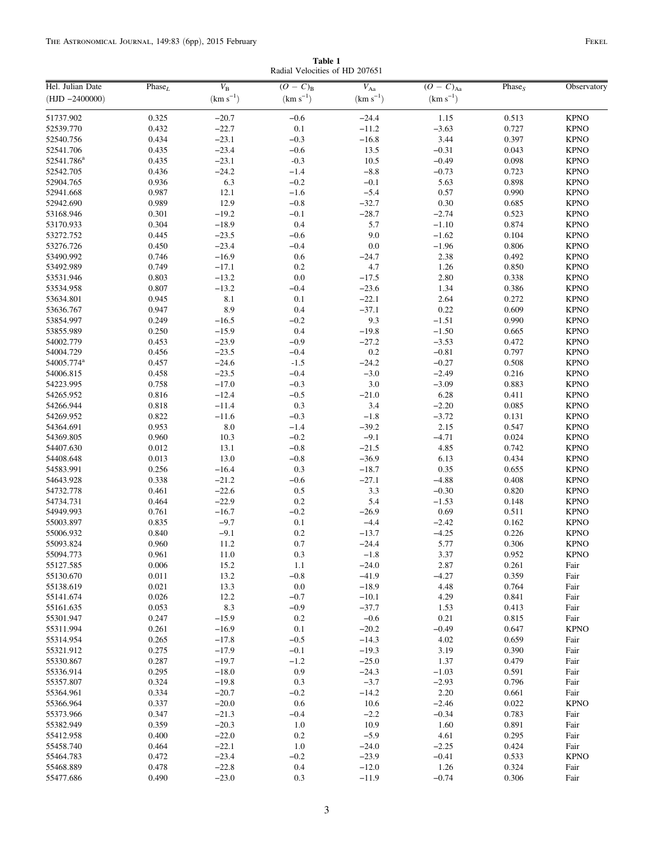Radial Velocities of HD 207651

<span id="page-3-0"></span>

| Hel. Julian Date       | Phase <sub>L</sub> | $V_{\rm B}$   | $(O - C)_{B}$ | $V_{\rm Aa}$  | $\overline{(O-C)_{\text{Aa}}}$ | Phase $S$ | Observatory |
|------------------------|--------------------|---------------|---------------|---------------|--------------------------------|-----------|-------------|
| $(HJD - 2400000)$      |                    | $(km s^{-1})$ | $(km s^{-1})$ | $(km s^{-1})$ | $(km s^{-1})$                  |           |             |
| 51737.902              | 0.325              | $-20.7$       | $-0.6$        | $-24.4$       | 1.15                           | 0.513     | <b>KPNO</b> |
| 52539.770              | 0.432              | $-22.7$       | 0.1           | $-11.2$       | $-3.63$                        | 0.727     | <b>KPNO</b> |
| 52540.756              | 0.434              | $-23.1$       | $-0.3$        | $-16.8$       | 3.44                           | 0.397     | <b>KPNO</b> |
| 52541.706              | 0.435              | $-23.4$       | $-0.6$        | 13.5          | $-0.31$                        | 0.043     | <b>KPNO</b> |
| 52541.786 <sup>a</sup> | 0.435              | $-23.1$       | $-0.3$        | 10.5          | $-0.49$                        | 0.098     | <b>KPNO</b> |
| 52542.705              | 0.436              | $-24.2$       | $-1.4$        | $-8.8$        | $-0.73$                        | 0.723     | <b>KPNO</b> |
| 52904.765              | 0.936              | 6.3           | $-0.2$        | $-0.1$        | 5.63                           | 0.898     | <b>KPNO</b> |
| 52941.668              | 0.987              | 12.1          | $-1.6$        | $-5.4$        | 0.57                           | 0.990     | <b>KPNO</b> |
| 52942.690              | 0.989              | 12.9          | $-0.8$        | $-32.7$       | 0.30                           | 0.685     | <b>KPNO</b> |
| 53168.946              | 0.301              | $-19.2$       | $-0.1$        | $-28.7$       | $-2.74$                        | 0.523     | <b>KPNO</b> |
| 53170.933              | 0.304              | $-18.9$       | 0.4           | 5.7           | $-1.10$                        | 0.874     | <b>KPNO</b> |
| 53272.752              | 0.445              | $-23.5$       | $-0.6$        | 9.0           | $-1.62$                        | 0.104     | <b>KPNO</b> |
| 53276.726              | 0.450              | $-23.4$       | $-0.4$        | $0.0\,$       | $-1.96$                        | 0.806     | <b>KPNO</b> |
| 53490.992              | 0.746              | $-16.9$       | 0.6           | $-24.7$       | 2.38                           | 0.492     | <b>KPNO</b> |
| 53492.989              | 0.749              | $-17.1$       | $0.2\,$       | 4.7           | 1.26                           | 0.850     | <b>KPNO</b> |
| 53531.946              | 0.803              | $-13.2$       | $0.0\,$       | $-17.5$       | 2.80                           | 0.338     | <b>KPNO</b> |
| 53534.958              | 0.807              | $-13.2$       | $-0.4$        | $-23.6$       | 1.34                           | 0.386     | <b>KPNO</b> |
| 53634.801              | 0.945              | 8.1           | 0.1           | $-22.1$       | 2.64                           | 0.272     | <b>KPNO</b> |
| 53636.767              | 0.947              | 8.9           | 0.4           | $-37.1$       | 0.22                           | 0.609     | <b>KPNO</b> |
| 53854.997              | 0.249              | $-16.5$       | $-0.2$        | 9.3           | $-1.51$                        | 0.990     | <b>KPNO</b> |
| 53855.989              | 0.250              | $-15.9$       | 0.4           | $-19.8$       | $-1.50$                        | 0.665     | <b>KPNO</b> |
| 54002.779              | 0.453              | $-23.9$       | $-0.9$        | $-27.2$       | $-3.53$                        | 0.472     | <b>KPNO</b> |
| 54004.729              | 0.456              | $-23.5$       | $-0.4$        | $0.2\,$       | $-0.81$                        | 0.797     | <b>KPNO</b> |
| 54005.774 <sup>a</sup> | 0.457              | $-24.6$       | $-1.5$        | $-24.2$       | $-0.27$                        | 0.508     | <b>KPNO</b> |
| 54006.815              | 0.458              | $-23.5$       | $-0.4$        | $-3.0$        | $-2.49$                        | 0.216     | <b>KPNO</b> |
| 54223.995              | 0.758              | $-17.0$       | $-0.3$        | $3.0\,$       | $-3.09$                        | 0.883     | <b>KPNO</b> |
| 54265.952              | 0.816              | $-12.4$       | $-0.5$        | $-21.0$       | 6.28                           | 0.411     | <b>KPNO</b> |
| 54266.944              | 0.818              | $-11.4$       | 0.3           | 3.4           | $-2.20$                        | 0.085     | <b>KPNO</b> |
| 54269.952              | 0.822              | $-11.6$       | $-0.3$        | $-1.8$        | $-3.72$                        | 0.131     | <b>KPNO</b> |
| 54364.691              | 0.953              | $8.0\,$       | $-1.4$        | $-39.2$       | 2.15                           | 0.547     | <b>KPNO</b> |
| 54369.805              | 0.960              | 10.3          | $-0.2$        | $-9.1$        | $-4.71$                        | 0.024     | <b>KPNO</b> |
| 54407.630              | 0.012              | 13.1          | $-0.8$        | $-21.5$       | 4.85                           | 0.742     | <b>KPNO</b> |
| 54408.648              | 0.013              | 13.0          | $-0.8$        | $-36.9$       | 6.13                           | 0.434     | <b>KPNO</b> |
| 54583.991              | 0.256              | $-16.4$       | 0.3           | $-18.7$       | 0.35                           | 0.655     | <b>KPNO</b> |
| 54643.928              | 0.338              | $-21.2$       | $-0.6$        | $-27.1$       | $-4.88$                        | 0.408     | <b>KPNO</b> |
| 54732.778              | 0.461              | $-22.6$       | 0.5           | 3.3           | $-0.30$                        | 0.820     | <b>KPNO</b> |
| 54734.731              | 0.464              | $-22.9$       | $0.2\,$       | 5.4           | $-1.53$                        | 0.148     | <b>KPNO</b> |
| 54949.993              | 0.761              | $-16.7$       | $-0.2$        | $-26.9$       | 0.69                           | 0.511     | <b>KPNO</b> |
| 55003.897              | 0.835              | $-9.7$        | 0.1           | $-4.4$        | $-2.42$                        | 0.162     | <b>KPNO</b> |
| 55006.932              | 0.840              | $-9.1$        | $0.2\,$       | $-13.7$       | $-4.25$                        | 0.226     | <b>KPNO</b> |
| 55093.824              | 0.960              | 11.2          | 0.7           | $-24.4$       | 5.77                           | 0.306     | <b>KPNO</b> |
| 55094.773              | 0.961              | 11.0          | 0.3           | $-1.8$        | 3.37                           | 0.952     | <b>KPNO</b> |
| 55127.585              | 0.006              | 15.2          | $1.1\,$       | $-24.0$       | 2.87                           | 0.261     | Fair        |
| 55130.670              | 0.011              | 13.2          | $-0.8$        | $-41.9$       | $-4.27$                        | 0.359     | Fair        |
| 55138.619              | 0.021              | 13.3          | $0.0\,$       | $-18.9$       | 4.48                           | 0.764     | Fair        |
| 55141.674              | 0.026              | 12.2          | $-0.7$        | $-10.1$       | 4.29                           | 0.841     | Fair        |
| 55161.635              | 0.053              | 8.3           | $-0.9$        | $-37.7$       | 1.53                           | 0.413     | Fair        |
| 55301.947              | 0.247              | $-15.9$       | 0.2           | $-0.6$        | 0.21                           | 0.815     | Fair        |
| 55311.994              | 0.261              | $-16.9$       | 0.1           | $-20.2$       | $-0.49$                        | 0.647     | <b>KPNO</b> |
| 55314.954              | 0.265              | $-17.8$       | $-0.5$        | $-14.3$       | 4.02                           | 0.659     | Fair        |
| 55321.912              | 0.275              | $-17.9$       | $-0.1$        | $-19.3$       | 3.19                           | 0.390     | Fair        |
| 55330.867              | 0.287              | $-19.7$       | $-1.2$        | $-25.0$       | 1.37                           | 0.479     | Fair        |
| 55336.914              | 0.295              | $-18.0$       | 0.9           | $-24.3$       | $-1.03$                        | 0.591     | Fair        |
| 55357.807              | 0.324              | $-19.8$       | 0.3           | $-3.7$        | $-2.93$                        | 0.796     | Fair        |
| 55364.961              | 0.334              | $-20.7$       | $-0.2$        | $-14.2$       | 2.20                           | 0.661     | Fair        |
| 55366.964              | 0.337              | $-20.0$       | 0.6           | 10.6          | $-2.46$                        | 0.022     | <b>KPNO</b> |
| 55373.966              | 0.347              | $-21.3$       | $-0.4$        | $-2.2$        | $-0.34$                        | 0.783     | Fair        |
| 55382.949              | 0.359              | $-20.3$       | $1.0\,$       | 10.9          | 1.60                           | 0.891     | Fair        |
| 55412.958              | 0.400              | $-22.0$       | 0.2           | $-5.9$        | 4.61                           | 0.295     | Fair        |
| 55458.740              | 0.464              | $-22.1$       | $1.0\,$       | $-24.0$       | $-2.25$                        | 0.424     | Fair        |
| 55464.783              | 0.472              | $-23.4$       | $-0.2$        | $-23.9$       | $-0.41$                        | 0.533     | <b>KPNO</b> |
| 55468.889              | 0.478              | $-22.8$       | 0.4           | $-12.0$       | 1.26                           | 0.324     | Fair        |
| 55477.686              | 0.490              | $-23.0$       | 0.3           | $-11.9$       | $-0.74$                        | 0.306     | Fair        |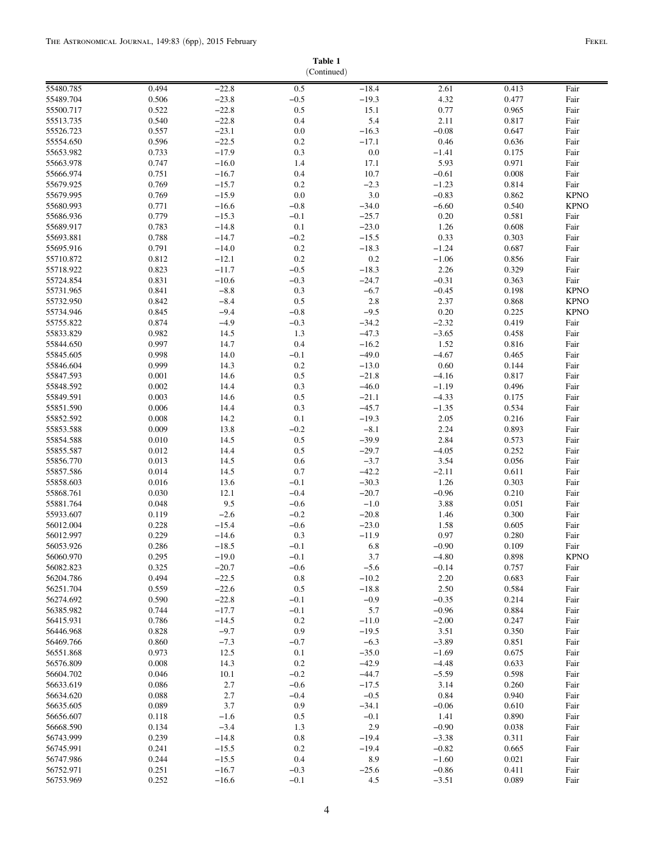# (Continued)

|                        |                |                    | (Continued)    |                    |                    |                |              |
|------------------------|----------------|--------------------|----------------|--------------------|--------------------|----------------|--------------|
| 55480.785              | 0.494          | $-22.8$            | 0.5            | $-18.4$            | 2.61               | 0.413          | Fair         |
| 55489.704              | 0.506          | $-23.8$            | $-0.5$         | $-19.3$            | 4.32               | 0.477          | Fair         |
| 55500.717              | 0.522          | $-22.8$            | 0.5            | 15.1               | 0.77               | 0.965          | Fair         |
| 55513.735              | 0.540          | $-22.8$            | 0.4            | 5.4                | 2.11               | 0.817          | Fair         |
| 55526.723              | 0.557          | $-23.1$            | 0.0            | $-16.3$            | $-0.08$            | 0.647          | Fair         |
| 55554.650              | 0.596          | $-22.5$            | 0.2            | $-17.1$            | 0.46               | 0.636          | Fair         |
| 55653.982              | 0.733          | $-17.9$            | 0.3            | 0.0                | $-1.41$            | 0.175          | Fair         |
| 55663.978              | 0.747          | $-16.0$            | 1.4            | 17.1               | 5.93               | 0.971          | Fair         |
| 55666.974              | 0.751          | $-16.7$            | 0.4            | 10.7               | $-0.61$            | 0.008          | Fair         |
| 55679.925              | 0.769          | $-15.7$            | 0.2            | $-2.3$             | $-1.23$            | 0.814          | Fair         |
| 55679.995              | 0.769          | $-15.9$            | 0.0            | 3.0                | $-0.83$            | 0.862          | <b>KPNO</b>  |
| 55680.993              | 0.771          | $-16.6$            | $-0.8$         | $-34.0$            | $-6.60$            | 0.540          | <b>KPNO</b>  |
| 55686.936              | 0.779<br>0.783 | $-15.3$<br>$-14.8$ | $-0.1$<br>0.1  | $-25.7$<br>$-23.0$ | 0.20<br>1.26       | 0.581<br>0.608 | Fair         |
| 55689.917<br>55693.881 | 0.788          | $-14.7$            | $-0.2$         | $-15.5$            | 0.33               | 0.303          | Fair<br>Fair |
| 55695.916              | 0.791          | $-14.0$            | $0.2\,$        | $-18.3$            | $-1.24$            | 0.687          | Fair         |
| 55710.872              | 0.812          | $-12.1$            | $0.2\,$        | 0.2                | $-1.06$            | 0.856          | Fair         |
| 55718.922              | 0.823          | $-11.7$            | $-0.5$         | $-18.3$            | 2.26               | 0.329          | Fair         |
| 55724.854              | 0.831          | $-10.6$            | $-0.3$         | $-24.7$            | $-0.31$            | 0.363          | Fair         |
| 55731.965              | 0.841          | $-8.8$             | 0.3            | $-6.7$             | $-0.45$            | 0.198          | <b>KPNO</b>  |
| 55732.950              | 0.842          | $-8.4$             | 0.5            | 2.8                | 2.37               | 0.868          | <b>KPNO</b>  |
| 55734.946              | 0.845          | $-9.4$             | $-0.8$         | $-9.5$             | 0.20               | 0.225          | <b>KPNO</b>  |
| 55755.822              | 0.874          | $-4.9$             | $-0.3$         | $-34.2$            | $-2.32$            | 0.419          | Fair         |
| 55833.829              | 0.982          | 14.5               | 1.3            | $-47.3$            | $-3.65$            | 0.458          | Fair         |
| 55844.650              | 0.997          | 14.7               | 0.4            | $-16.2$            | 1.52               | 0.816          | Fair         |
| 55845.605              | 0.998          | 14.0               | $-0.1$         | $-49.0$            | $-4.67$            | 0.465          | Fair         |
| 55846.604              | 0.999          | 14.3               | 0.2            | $-13.0$            | 0.60               | 0.144          | Fair         |
| 55847.593              | 0.001          | 14.6               | 0.5            | $-21.8$            | $-4.16$            | 0.817          | Fair         |
| 55848.592              | 0.002          | 14.4               | 0.3            | $-46.0$            | $-1.19$            | 0.496          | Fair         |
| 55849.591              | 0.003          | 14.6               | 0.5            | $-21.1$            | $-4.33$            | 0.175          | Fair         |
| 55851.590<br>55852.592 | 0.006          | 14.4               | 0.3<br>0.1     | $-45.7$<br>$-19.3$ | $-1.35$            | 0.534          | Fair         |
| 55853.588              | 0.008<br>0.009 | 14.2<br>13.8       | $-0.2$         | $-8.1$             | 2.05<br>2.24       | 0.216<br>0.893 | Fair<br>Fair |
| 55854.588              | 0.010          | 14.5               | 0.5            | $-39.9$            | 2.84               | 0.573          | Fair         |
| 55855.587              | 0.012          | 14.4               | 0.5            | $-29.7$            | $-4.05$            | 0.252          | Fair         |
| 55856.770              | 0.013          | 14.5               | 0.6            | $-3.7$             | 3.54               | 0.056          | Fair         |
| 55857.586              | 0.014          | 14.5               | 0.7            | $-42.2$            | $-2.11$            | 0.611          | Fair         |
| 55858.603              | 0.016          | 13.6               | $-0.1$         | $-30.3$            | 1.26               | 0.303          | Fair         |
| 55868.761              | 0.030          | 12.1               | $-0.4$         | $-20.7$            | $-0.96$            | 0.210          | Fair         |
| 55881.764              | 0.048          | 9.5                | $-0.6$         | $-1.0$             | 3.88               | 0.051          | Fair         |
| 55933.607              | 0.119          | $-2.6$             | $-0.2$         | $-20.8$            | 1.46               | 0.300          | Fair         |
| 56012.004              | 0.228          | $-15.4$            | $-0.6$         | $-23.0$            | 1.58               | 0.605          | Fair         |
| 56012.997              | 0.229          | $-14.6$            | 0.3            | $-11.9$            | 0.97               | 0.280          | Fair         |
| 56053.926              | 0.286          | $-18.5$            | $-0.1$         | 6.8                | $-0.90$            | 0.109          | Fair         |
| 56060.970              | 0.295          | $-19.0$            | $-0.1$         | 3.7                | $-4.80$            | 0.898          | <b>KPNO</b>  |
| 56082.823<br>56204.786 | 0.325<br>0.494 | $-20.7$<br>$-22.5$ | $-0.6$<br>0.8  | $-5.6$<br>$-10.2$  | $-0.14$<br>2.20    | 0.757<br>0.683 | Fair<br>Fair |
| 56251.704              | 0.559          | $-22.6$            | 0.5            | $-18.8$            | 2.50               | 0.584          | Fair         |
| 56274.692              | 0.590          | $-22.8$            | $-0.1$         | $-0.9$             | $-0.35$            | 0.214          | Fair         |
| 56385.982              | 0.744          | $-17.7$            | $-0.1$         | 5.7                | $-0.96$            | 0.884          | Fair         |
| 56415.931              | 0.786          | $-14.5$            | 0.2            | $-11.0$            | $-2.00$            | 0.247          | Fair         |
| 56446.968              | 0.828          | $-9.7$             | 0.9            | $-19.5$            | 3.51               | 0.350          | Fair         |
| 56469.766              | 0.860          | $-7.3$             | $-0.7$         | $-6.3$             | $-3.89$            | 0.851          | Fair         |
| 56551.868              | 0.973          | 12.5               | 0.1            | $-35.0$            | $-1.69$            | 0.675          | Fair         |
| 56576.809              | 0.008          | 14.3               | 0.2            | $-42.9$            | $-4.48$            | 0.633          | Fair         |
| 56604.702              | 0.046          | 10.1               | $-0.2$         | $-44.7$            | $-5.59$            | 0.598          | Fair         |
| 56633.619              | 0.086          | 2.7                | $-0.6$         | $-17.5$            | 3.14               | 0.260          | Fair         |
| 56634.620              | 0.088          | 2.7                | $-0.4$         | $-0.5$             | 0.84               | 0.940          | Fair         |
| 56635.605              | 0.089          | 3.7                | 0.9            | $-34.1$            | $-0.06$            | 0.610          | Fair         |
| 56656.607              | 0.118          | $-1.6$             | 0.5            | $-0.1$             | 1.41               | 0.890          | Fair         |
| 56668.590              | 0.134          | $-3.4$             | 1.3            | 2.9                | $-0.90$            | 0.038          | Fair         |
| 56743.999              | 0.239          | $-14.8$            | $\rm 0.8$      | $-19.4$            | $-3.38$            | 0.311          | Fair<br>Fair |
| 56745.991<br>56747.986 | 0.241<br>0.244 | $-15.5$<br>$-15.5$ | $0.2\,$<br>0.4 | $-19.4$<br>8.9     | $-0.82$<br>$-1.60$ | 0.665<br>0.021 | Fair         |
| 56752.971              | 0.251          | $-16.7$            | $-0.3$         | $-25.6$            | $-0.86$            | 0.411          | Fair         |
| 56753.969              | 0.252          | $-16.6$            | $-0.1$         | 4.5                | $-3.51$            | 0.089          | Fair         |
|                        |                |                    |                |                    |                    |                |              |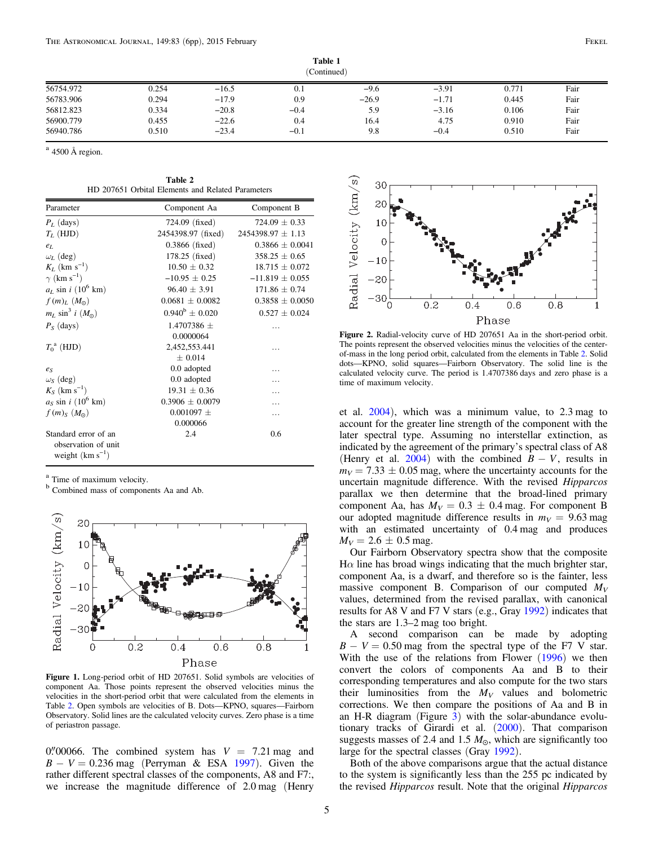<span id="page-5-0"></span>

|           |       |         | (Continued) |         |         |       |      |
|-----------|-------|---------|-------------|---------|---------|-------|------|
| 56754.972 | 0.254 | $-16.5$ | 0.1         | $-9.6$  | $-3.91$ | 0.771 | Fair |
| 56783.906 | 0.294 | $-17.9$ | 0.9         | $-26.9$ | $-1.71$ | 0.445 | Fair |
| 56812.823 | 0.334 | $-20.8$ | $-0.4$      | 5.9     | $-3.16$ | 0.106 | Fair |
| 56900.779 | 0.455 | $-22.6$ | 0.4         | 16.4    | 4.75    | 0.910 | Fair |
| 56940.786 | 0.510 | $-23.4$ | $-0.1$      | 9.8     | $-0.4$  | 0.510 | Fair |

 $a$  4500 Å region.

| Table 2 |                                                   |  |  |  |
|---------|---------------------------------------------------|--|--|--|
|         | HD 207651 Orbital Elements and Related Parameters |  |  |  |

| Parameter                           | Component Aa              | Component B           |
|-------------------------------------|---------------------------|-----------------------|
| $P_L$ (days)                        | $724.09$ (fixed)          | $724.09 \pm 0.33$     |
| $T_L$ (HJD)                         | 2454398.97 (fixed)        | $2454398.97 \pm 1.13$ |
| $e_L$                               | $0.3866$ (fixed)          | $0.3866 \pm 0.0041$   |
| $\omega_L$ (deg)                    | 178.25 (fixed)            | $358.25 \pm 0.65$     |
| $K_L$ (km s <sup>-1</sup> )         | $10.50 \pm 0.32$          | $18.715 \pm 0.072$    |
| $\gamma$ (km s <sup>-1</sup> )      | $-10.95 \pm 0.25$         | $-11.819 \pm 0.055$   |
| $aL$ sin i (10 <sup>6</sup> km)     | $96.40 \pm 3.91$          | $171.86 \pm 0.74$     |
| f(m) <sub>L</sub> (M <sub>o</sub> ) | $0.0681 + 0.0082$         | $0.3858 \pm 0.0050$   |
| $m_L \sin^3 i (M_{\odot})$          | $0.940^{\rm b} \pm 0.020$ | $0.527 \pm 0.024$     |
| $P_S$ (days)                        | 1.4707386 $\pm$           | .                     |
|                                     | 0.0000064                 |                       |
| $T_0^{\text{a}}$ (HJD)              | 2,452,553.441             | .                     |
|                                     | $+0.014$                  |                       |
| $e_{S}$                             | 0.0 adopted               | .                     |
| $\omega_S$ (deg)                    | 0.0 adopted               |                       |
| $K_S$ (km s <sup>-1</sup> )         | $19.31 \pm 0.36$          | .                     |
| $aS$ sin i (10 <sup>6</sup> km)     | $0.3906 \pm 0.0079$       |                       |
| $f(m)_{S}$ $(M_{\odot})$            | $0.001097 \pm$            | .                     |
|                                     | 0.000066                  |                       |
| Standard error of an                | 2.4                       | 0.6                   |
| observation of unit                 |                           |                       |
| weight ( $\rm km~s^{-1}$ )          |                           |                       |
|                                     |                           |                       |

<sup>a</sup> Time of maximum velocity.

<sup>b</sup> Combined mass of components Aa and Ab.



Figure 1. Long-period orbit of HD 207651. Solid symbols are velocities of component Aa. Those points represent the observed velocities minus the velocities in the short-period orbit that were calculated from the elements in Table 2. Open symbols are velocities of B. Dots—KPNO, squares—Fairborn Observatory. Solid lines are the calculated velocity curves. Zero phase is a time of periastron passage.

0."00066. The combined system has  $V = 7.21$  mag and  $B - V = 0.236$  mag (Perryman & ESA [1997](#page-6-0)). Given the rather different spectral classes of the components, A8 and F7:, we increase the magnitude difference of 2.0 mag (Henry



Figure 2. Radial-velocity curve of HD 207651 Aa in the short-period orbit. The points represent the observed velocities minus the velocities of the centerof-mass in the long period orbit, calculated from the elements in Table 2. Solid dots—KPNO, solid squares—Fairborn Observatory. The solid line is the calculated velocity curve. The period is 1.4707386 days and zero phase is a time of maximum velocity.

et al. [2004](#page-6-0)), which was a minimum value, to 2.3 mag to account for the greater line strength of the component with the later spectral type. Assuming no interstellar extinction, as indicated by the agreement of the primary's spectral class of A8 (Henry et al. [2004](#page-6-0)) with the combined  $B - V$ , results in  $m_V = 7.33 \pm 0.05$  mag, where the uncertainty accounts for the uncertain magnitude difference. With the revised Hipparcos parallax we then determine that the broad-lined primary component Aa, has  $M_V = 0.3 \pm 0.4$  mag. For component B our adopted magnitude difference results in  $m_V = 9.63$  mag with an estimated uncertainty of 0.4 mag and produces  $M_V = 2.6 \pm 0.5$  mag.

Our Fairborn Observatory spectra show that the composite H $\alpha$  line has broad wings indicating that the much brighter star, component Aa, is a dwarf, and therefore so is the fainter, less massive component B. Comparison of our computed  $M_V$ values, determined from the revised parallax, with canonical results for A8 V and F7 V stars (e.g., Gray [1992](#page-6-0)) indicates that the stars are 1.3–2 mag too bright.

A second comparison can be made by adopting  $B - V = 0.50$  mag from the spectral type of the F7 V star. With the use of the relations from Flower ([1996](#page-6-0)) we then convert the colors of components Aa and B to their corresponding temperatures and also compute for the two stars their luminosities from the  $M_V$  values and bolometric corrections. We then compare the positions of Aa and B in an H-R diagram (Figure [3](#page-6-0)) with the solar-abundance evolutionary tracks of Girardi et al. ([2000](#page-6-0)). That comparison suggests masses of 2.4 and 1.5  $M_{\odot}$ , which are significantly too large for the spectral classes (Gray [1992](#page-6-0)).

Both of the above comparisons argue that the actual distance to the system is significantly less than the 255 pc indicated by the revised Hipparcos result. Note that the original Hipparcos